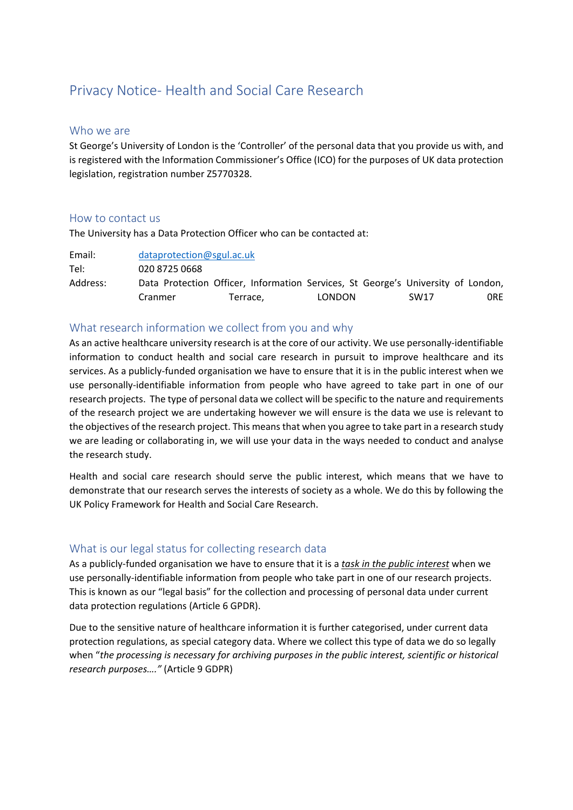# Privacy Notice- Health and Social Care Research

### Who we are

St George's University of London is the 'Controller' of the personal data that you provide us with, and is registered with the Information Commissioner's Office (ICO) for the purposes of UK data protection legislation, registration number Z5770328.

### How to contact us

The University has a Data Protection Officer who can be contacted at:

| Email:   | dataprotection@sgul.ac.uk                                                        |  |        |  |  |             |     |
|----------|----------------------------------------------------------------------------------|--|--------|--|--|-------------|-----|
| Tel:     | 020 8725 0668                                                                    |  |        |  |  |             |     |
| Address: | Data Protection Officer, Information Services, St George's University of London, |  |        |  |  |             |     |
|          | Terrace.<br>Cranmer                                                              |  | LONDON |  |  | <b>SW17</b> | 0RE |

### What research information we collect from you and why

As an active healthcare university research is at the core of our activity. We use personally-identifiable information to conduct health and social care research in pursuit to improve healthcare and its services. As a publicly-funded organisation we have to ensure that it is in the public interest when we use personally-identifiable information from people who have agreed to take part in one of our research projects. The type of personal data we collect will be specific to the nature and requirements of the research project we are undertaking however we will ensure is the data we use is relevant to the objectives of the research project. This means that when you agree to take part in a research study we are leading or collaborating in, we will use your data in the ways needed to conduct and analyse the research study.

Health and social care research should serve the public interest, which means that we have to demonstrate that our research serves the interests of society as a whole. We do this by following the UK Policy Framework for Health and Social Care Research.

## What is our legal status for collecting research data

As a publicly-funded organisation we have to ensure that it is a *task in the public interest* when we use personally-identifiable information from people who take part in one of our research projects. This is known as our "legal basis" for the collection and processing of personal data under current data protection regulations (Article 6 GPDR).

Due to the sensitive nature of healthcare information it is further categorised, under current data protection regulations, as special category data. Where we collect this type of data we do so legally when "*the processing is necessary for archiving purposes in the public interest, scientific or historical research purposes…."* (Article 9 GDPR)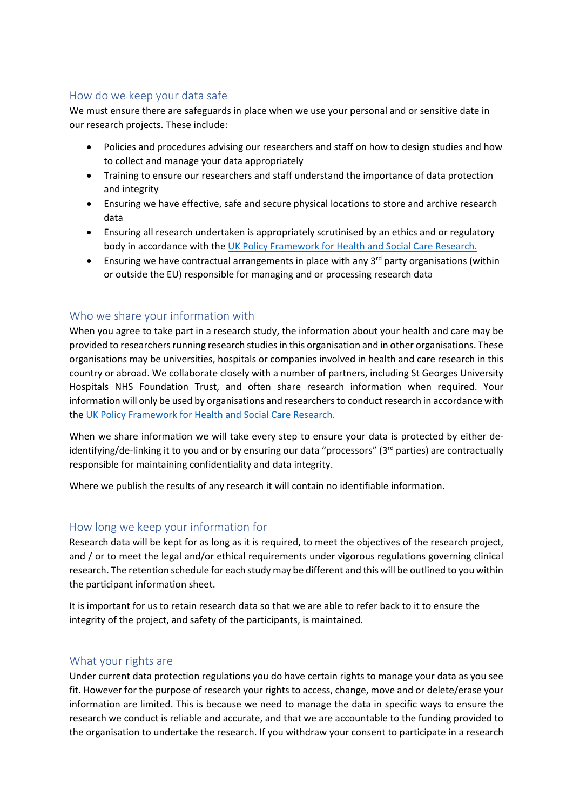# How do we keep your data safe

We must ensure there are safeguards in place when we use your personal and or sensitive date in our research projects. These include:

- Policies and procedures advising our researchers and staff on how to design studies and how to collect and manage your data appropriately
- Training to ensure our researchers and staff understand the importance of data protection and integrity
- Ensuring we have effective, safe and secure physical locations to store and archive research data
- Ensuring all research undertaken is appropriately scrutinised by an ethics and or regulatory body in accordance with the [UK Policy Framework for Health and Social Care Research.](https://www.hra.nhs.uk/planning-and-improving-research/policies-standards-legislation/uk-policy-framework-health-social-care-research/)
- Ensuring we have contractual arrangements in place with any 3<sup>rd</sup> party organisations (within or outside the EU) responsible for managing and or processing research data

## Who we share your information with

When you agree to take part in a research study, the information about your health and care may be provided to researchers running research studies in this organisation and in other organisations. These organisations may be universities, hospitals or companies involved in health and care research in this country or abroad. We collaborate closely with a number of partners, including St Georges University Hospitals NHS Foundation Trust, and often share research information when required. Your information will only be used by organisations and researchers to conduct research in accordance with the [UK Policy Framework for Health and Social Care Research.](https://www.hra.nhs.uk/planning-and-improving-research/policies-standards-legislation/uk-policy-framework-health-social-care-research/)

When we share information we will take every step to ensure your data is protected by either deidentifying/de-linking it to you and or by ensuring our data "processors" (3rd parties) are contractually responsible for maintaining confidentiality and data integrity.

Where we publish the results of any research it will contain no identifiable information.

### How long we keep your information for

Research data will be kept for as long as it is required, to meet the objectives of the research project, and / or to meet the legal and/or ethical requirements under vigorous regulations governing clinical research. The retention schedule for each study may be different and this will be outlined to you within the participant information sheet.

It is important for us to retain research data so that we are able to refer back to it to ensure the integrity of the project, and safety of the participants, is maintained.

### What your rights are

Under current data protection regulations you do have certain rights to manage your data as you see fit. However for the purpose of research your rights to access, change, move and or delete/erase your information are limited. This is because we need to manage the data in specific ways to ensure the research we conduct is reliable and accurate, and that we are accountable to the funding provided to the organisation to undertake the research. If you withdraw your consent to participate in a research